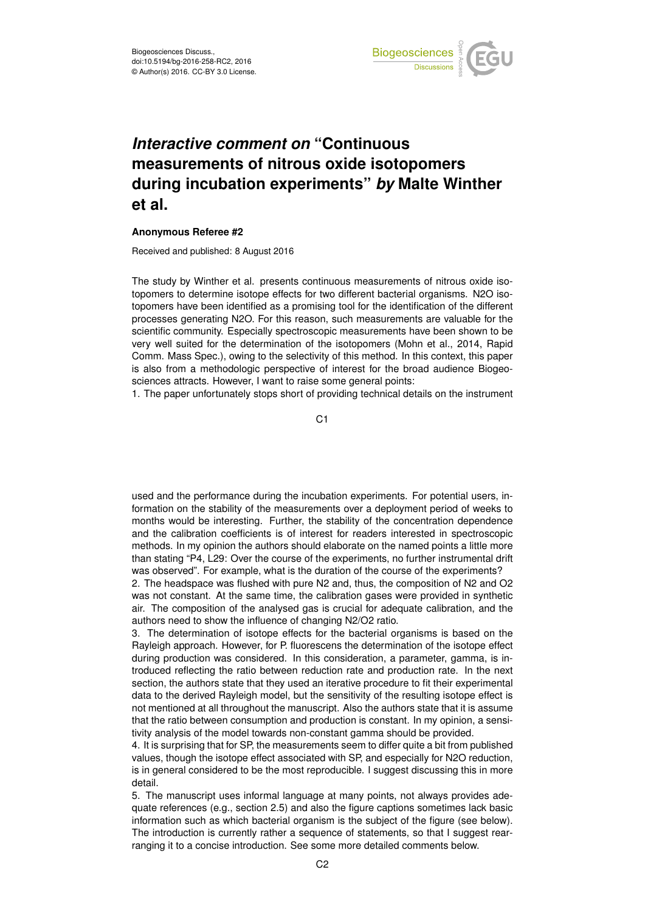

## *Interactive comment on* **"Continuous measurements of nitrous oxide isotopomers during incubation experiments"** *by* **Malte Winther et al.**

## **Anonymous Referee #2**

Received and published: 8 August 2016

The study by Winther et al. presents continuous measurements of nitrous oxide isotopomers to determine isotope effects for two different bacterial organisms. N2O isotopomers have been identified as a promising tool for the identification of the different processes generating N2O. For this reason, such measurements are valuable for the scientific community. Especially spectroscopic measurements have been shown to be very well suited for the determination of the isotopomers (Mohn et al., 2014, Rapid Comm. Mass Spec.), owing to the selectivity of this method. In this context, this paper is also from a methodologic perspective of interest for the broad audience Biogeosciences attracts. However, I want to raise some general points:

1. The paper unfortunately stops short of providing technical details on the instrument

C<sub>1</sub>

used and the performance during the incubation experiments. For potential users, information on the stability of the measurements over a deployment period of weeks to months would be interesting. Further, the stability of the concentration dependence and the calibration coefficients is of interest for readers interested in spectroscopic methods. In my opinion the authors should elaborate on the named points a little more than stating "P4, L29: Over the course of the experiments, no further instrumental drift was observed". For example, what is the duration of the course of the experiments?

2. The headspace was flushed with pure N2 and, thus, the composition of N2 and O2 was not constant. At the same time, the calibration gases were provided in synthetic air. The composition of the analysed gas is crucial for adequate calibration, and the authors need to show the influence of changing N2/O2 ratio.

3. The determination of isotope effects for the bacterial organisms is based on the Rayleigh approach. However, for P. fluorescens the determination of the isotope effect during production was considered. In this consideration, a parameter, gamma, is introduced reflecting the ratio between reduction rate and production rate. In the next section, the authors state that they used an iterative procedure to fit their experimental data to the derived Rayleigh model, but the sensitivity of the resulting isotope effect is not mentioned at all throughout the manuscript. Also the authors state that it is assume that the ratio between consumption and production is constant. In my opinion, a sensitivity analysis of the model towards non-constant gamma should be provided.

4. It is surprising that for SP, the measurements seem to differ quite a bit from published values, though the isotope effect associated with SP, and especially for N2O reduction, is in general considered to be the most reproducible. I suggest discussing this in more detail.

5. The manuscript uses informal language at many points, not always provides adequate references (e.g., section 2.5) and also the figure captions sometimes lack basic information such as which bacterial organism is the subject of the figure (see below). The introduction is currently rather a sequence of statements, so that I suggest rearranging it to a concise introduction. See some more detailed comments below.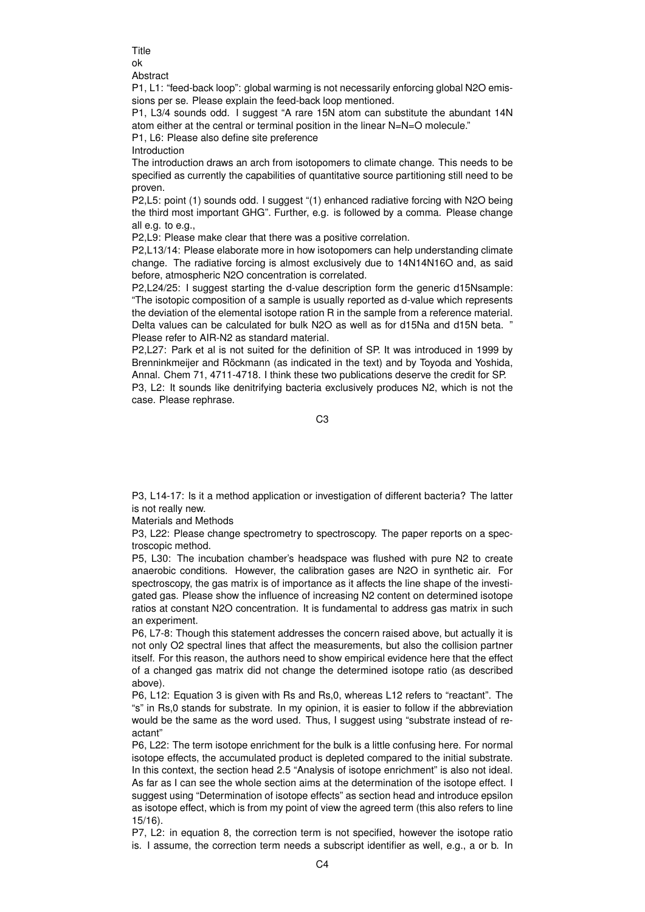**Title** ok

Abstract

P1, L1: "feed-back loop": global warming is not necessarily enforcing global N2O emissions per se. Please explain the feed-back loop mentioned.

P1, L3/4 sounds odd. I suggest "A rare 15N atom can substitute the abundant 14N atom either at the central or terminal position in the linear N=N=O molecule."

P1, L6: Please also define site preference

Introduction

The introduction draws an arch from isotopomers to climate change. This needs to be specified as currently the capabilities of quantitative source partitioning still need to be proven.

P2,L5: point (1) sounds odd. I suggest "(1) enhanced radiative forcing with N2O being the third most important GHG". Further, e.g. is followed by a comma. Please change all e.g. to e.g.,

P2,L9: Please make clear that there was a positive correlation.

P2,L13/14: Please elaborate more in how isotopomers can help understanding climate change. The radiative forcing is almost exclusively due to 14N14N16O and, as said before, atmospheric N2O concentration is correlated.

P2,L24/25: I suggest starting the d-value description form the generic d15Nsample: "The isotopic composition of a sample is usually reported as d-value which represents the deviation of the elemental isotope ration R in the sample from a reference material. Delta values can be calculated for bulk N2O as well as for d15Na and d15N beta. " Please refer to AIR-N2 as standard material.

P2,L27: Park et al is not suited for the definition of SP. It was introduced in 1999 by Brenninkmeijer and Röckmann (as indicated in the text) and by Toyoda and Yoshida, Annal. Chem 71, 4711-4718. I think these two publications deserve the credit for SP. P3, L2: It sounds like denitrifying bacteria exclusively produces N2, which is not the case. Please rephrase.

C3

P3, L14-17: Is it a method application or investigation of different bacteria? The latter is not really new.

Materials and Methods

P3, L22: Please change spectrometry to spectroscopy. The paper reports on a spectroscopic method.

P5, L30: The incubation chamber's headspace was flushed with pure N2 to create anaerobic conditions. However, the calibration gases are N2O in synthetic air. For spectroscopy, the gas matrix is of importance as it affects the line shape of the investigated gas. Please show the influence of increasing N2 content on determined isotope ratios at constant N2O concentration. It is fundamental to address gas matrix in such an experiment.

P6, L7-8: Though this statement addresses the concern raised above, but actually it is not only O2 spectral lines that affect the measurements, but also the collision partner itself. For this reason, the authors need to show empirical evidence here that the effect of a changed gas matrix did not change the determined isotope ratio (as described above).

P6, L12: Equation 3 is given with Rs and Rs,0, whereas L12 refers to "reactant". The "s" in Rs,0 stands for substrate. In my opinion, it is easier to follow if the abbreviation would be the same as the word used. Thus, I suggest using "substrate instead of reactant"

P6, L22: The term isotope enrichment for the bulk is a little confusing here. For normal isotope effects, the accumulated product is depleted compared to the initial substrate. In this context, the section head 2.5 "Analysis of isotope enrichment" is also not ideal. As far as I can see the whole section aims at the determination of the isotope effect. I suggest using "Determination of isotope effects" as section head and introduce epsilon as isotope effect, which is from my point of view the agreed term (this also refers to line 15/16).

P7, L2: in equation 8, the correction term is not specified, however the isotope ratio is. I assume, the correction term needs a subscript identifier as well, e.g., a or b. In